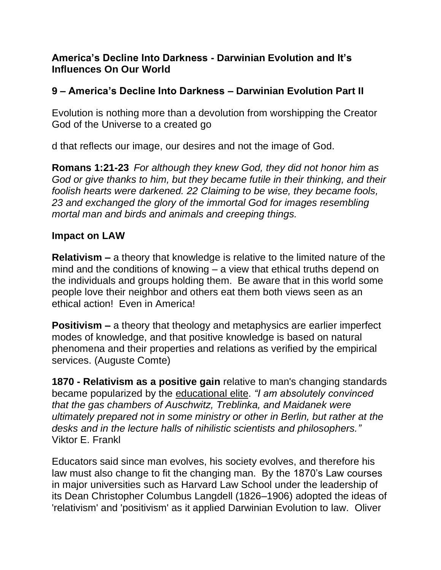## **America's Decline Into Darkness - Darwinian Evolution and It's Influences On Our World**

## **9 – America's Decline Into Darkness – Darwinian Evolution Part II**

Evolution is nothing more than a devolution from worshipping the Creator God of the Universe to a created go

d that reflects our image, our desires and not the image of God.

**Romans 1:21-23** *For although they knew God, they did not honor him as God or give thanks to him, but they became futile in their thinking, and their foolish hearts were darkened. 22 Claiming to be wise, they became fools, 23 and exchanged the glory of the immortal God for images resembling mortal man and birds and animals and creeping things.*

## **Impact on LAW**

**Relativism –** a theory that knowledge is relative to the limited nature of the mind and the conditions of knowing – a view that ethical truths depend on the individuals and groups holding them. Be aware that in this world some people love their neighbor and others eat them both views seen as an ethical action! Even in America!

**Positivism –** a theory that theology and metaphysics are earlier imperfect modes of knowledge, and that positive knowledge is based on natural phenomena and their properties and relations as verified by the empirical services. (Auguste Comte)

**1870 - Relativism as a positive gain** relative to man's changing standards became popularized by the educational elite. *"I am absolutely convinced that the gas chambers of Auschwitz, Treblinka, and Maidanek were ultimately prepared not in some ministry or other in Berlin, but rather at the desks and in the lecture halls of nihilistic scientists and philosophers."* Viktor E. Frankl

Educators said since man evolves, his society evolves, and therefore his law must also change to fit the changing man. By the 1870's Law courses in major universities such as Harvard Law School under the leadership of its Dean Christopher Columbus Langdell (1826–1906) adopted the ideas of 'relativism' and 'positivism' as it applied Darwinian Evolution to law. Oliver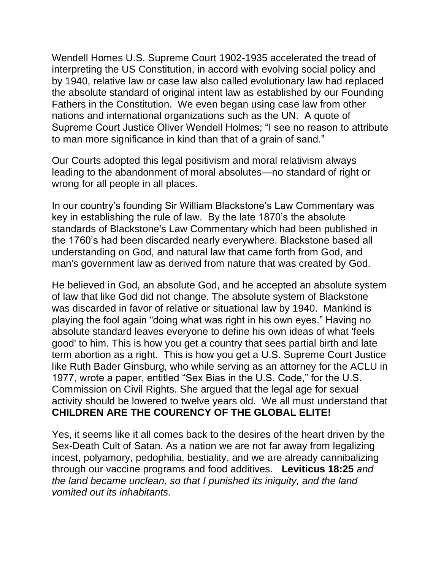Wendell Homes U.S. Supreme Court 1902-1935 accelerated the tread of interpreting the US Constitution, in accord with evolving social policy and by 1940, relative law or case law also called evolutionary law had replaced the absolute standard of original intent law as established by our Founding Fathers in the Constitution. We even began using case law from other nations and international organizations such as the UN. A quote of Supreme Court Justice Oliver Wendell Holmes; "I see no reason to attribute to man more significance in kind than that of a grain of sand."

Our Courts adopted this legal positivism and moral relativism always leading to the abandonment of moral absolutes—no standard of right or wrong for all people in all places.

In our country's founding Sir William Blackstone's Law Commentary was key in establishing the rule of law. By the late 1870's the absolute standards of Blackstone's Law Commentary which had been published in the 1760's had been discarded nearly everywhere. Blackstone based all understanding on God, and natural law that came forth from God, and man's government law as derived from nature that was created by God.

He believed in God, an absolute God, and he accepted an absolute system of law that like God did not change. The absolute system of Blackstone was discarded in favor of relative or situational law by 1940. Mankind is playing the fool again "doing what was right in his own eyes." Having no absolute standard leaves everyone to define his own ideas of what 'feels good' to him. This is how you get a country that sees partial birth and late term abortion as a right. This is how you get a U.S. Supreme Court Justice like Ruth Bader Ginsburg, who while serving as an attorney for the ACLU in 1977, wrote a paper, entitled "Sex Bias in the U.S. Code," for the U.S. Commission on Civil Rights. She argued that the legal age for sexual activity should be lowered to twelve years old. We all must understand that **CHILDREN ARE THE COURENCY OF THE GLOBAL ELITE!**

Yes, it seems like it all comes back to the desires of the heart driven by the Sex-Death Cult of Satan. As a nation we are not far away from legalizing incest, polyamory, pedophilia, bestiality, and we are already cannibalizing through our vaccine programs and food additives. **Leviticus 18:25** *and the land became unclean, so that I punished its iniquity, and the land vomited out its inhabitants.*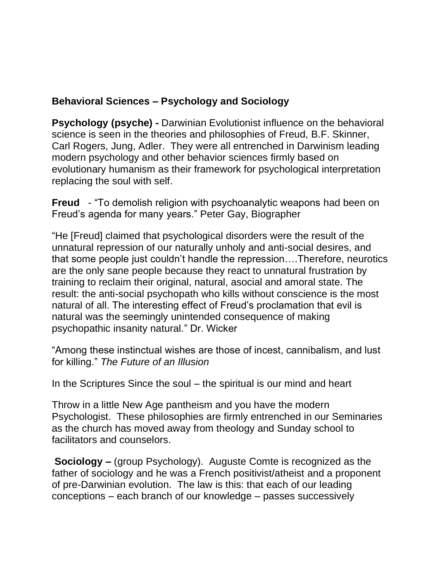# **Behavioral Sciences – Psychology and Sociology**

**Psychology (psyche) -** Darwinian Evolutionist influence on the behavioral science is seen in the theories and philosophies of Freud, B.F. Skinner, Carl Rogers, Jung, Adler. They were all entrenched in Darwinism leading modern psychology and other behavior sciences firmly based on evolutionary humanism as their framework for psychological interpretation replacing the soul with self.

**Freud** - "To demolish religion with psychoanalytic weapons had been on Freud's agenda for many years." Peter Gay, Biographer

"He [Freud] claimed that psychological disorders were the result of the unnatural repression of our naturally unholy and anti-social desires, and that some people just couldn't handle the repression….Therefore, neurotics are the only sane people because they react to unnatural frustration by training to reclaim their original, natural, asocial and amoral state. The result: the anti-social psychopath who kills without conscience is the most natural of all. The interesting effect of Freud's proclamation that evil is natural was the seemingly unintended consequence of making psychopathic insanity natural." Dr. Wicker

"Among these instinctual wishes are those of incest, cannibalism, and lust for killing." *The Future of an Illusion*

In the Scriptures Since the soul – the spiritual is our mind and heart

Throw in a little New Age pantheism and you have the modern Psychologist. These philosophies are firmly entrenched in our Seminaries as the church has moved away from theology and Sunday school to facilitators and counselors.

**Sociology –** (group Psychology). Auguste Comte is recognized as the father of sociology and he was a French positivist/atheist and a proponent of pre-Darwinian evolution. The law is this: that each of our leading conceptions – each branch of our knowledge – passes successively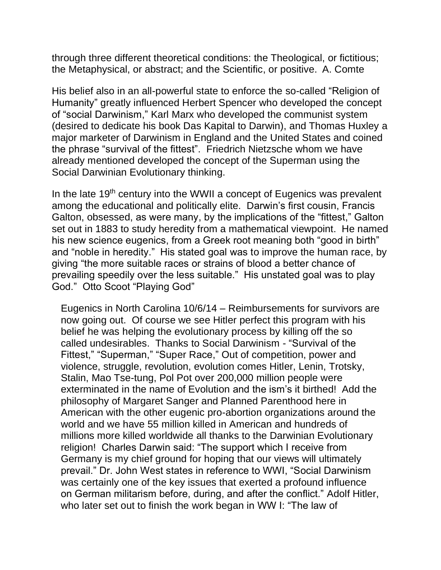through three different theoretical conditions: the Theological, or fictitious; the Metaphysical, or abstract; and the Scientific, or positive. A. Comte

His belief also in an all-powerful state to enforce the so-called "Religion of Humanity" greatly influenced Herbert Spencer who developed the concept of "social Darwinism," Karl Marx who developed the communist system (desired to dedicate his book Das Kapital to Darwin), and Thomas Huxley a major marketer of Darwinism in England and the United States and coined the phrase "survival of the fittest". Friedrich Nietzsche whom we have already mentioned developed the concept of the Superman using the Social Darwinian Evolutionary thinking.

In the late 19<sup>th</sup> century into the WWII a concept of Eugenics was prevalent among the educational and politically elite. Darwin's first cousin, Francis Galton, obsessed, as were many, by the implications of the "fittest," Galton set out in 1883 to study heredity from a mathematical viewpoint. He named his new science eugenics, from a Greek root meaning both "good in birth" and "noble in heredity." His stated goal was to improve the human race, by giving "the more suitable races or strains of blood a better chance of prevailing speedily over the less suitable." His unstated goal was to play God." Otto Scoot "Playing God"

Eugenics in North Carolina 10/6/14 – Reimbursements for survivors are now going out. Of course we see Hitler perfect this program with his belief he was helping the evolutionary process by killing off the so called undesirables. Thanks to Social Darwinism - "Survival of the Fittest," "Superman," "Super Race," Out of competition, power and violence, struggle, revolution, evolution comes Hitler, Lenin, Trotsky, Stalin, Mao Tse-tung, Pol Pot over 200,000 million people were exterminated in the name of Evolution and the ism's it birthed! Add the philosophy of Margaret Sanger and Planned Parenthood here in American with the other eugenic pro-abortion organizations around the world and we have 55 million killed in American and hundreds of millions more killed worldwide all thanks to the Darwinian Evolutionary religion! Charles Darwin said: "The support which I receive from Germany is my chief ground for hoping that our views will ultimately prevail." Dr. John West states in reference to WWI, "Social Darwinism was certainly one of the key issues that exerted a profound influence on German militarism before, during, and after the conflict." Adolf Hitler, who later set out to finish the work began in WW I: "The law of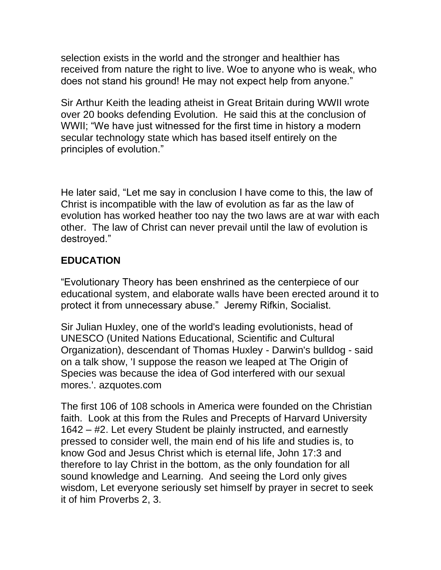selection exists in the world and the stronger and healthier has received from nature the right to live. Woe to anyone who is weak, who does not stand his ground! He may not expect help from anyone."

Sir Arthur Keith the leading atheist in Great Britain during WWII wrote over 20 books defending Evolution. He said this at the conclusion of WWII; "We have just witnessed for the first time in history a modern secular technology state which has based itself entirely on the principles of evolution."

He later said, "Let me say in conclusion I have come to this, the law of Christ is incompatible with the law of evolution as far as the law of evolution has worked heather too nay the two laws are at war with each other. The law of Christ can never prevail until the law of evolution is destroyed."

## **EDUCATION**

"Evolutionary Theory has been enshrined as the centerpiece of our educational system, and elaborate walls have been erected around it to protect it from unnecessary abuse." Jeremy Rifkin, Socialist.

Sir Julian Huxley, one of the world's leading evolutionists, head of UNESCO (United Nations Educational, Scientific and Cultural Organization), descendant of Thomas Huxley - Darwin's bulldog - said on a talk show, 'I suppose the reason we leaped at The Origin of Species was because the idea of God interfered with our sexual mores.'. azquotes.com

The first 106 of 108 schools in America were founded on the Christian faith. Look at this from the Rules and Precepts of Harvard University 1642 – #2. Let every Student be plainly instructed, and earnestly pressed to consider well, the main end of his life and studies is, to know God and Jesus Christ which is eternal life, John 17:3 and therefore to lay Christ in the bottom, as the only foundation for all sound knowledge and Learning. And seeing the Lord only gives wisdom, Let everyone seriously set himself by prayer in secret to seek it of him Proverbs 2, 3.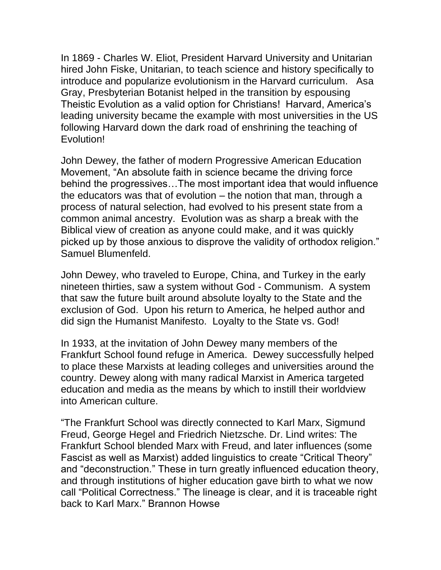In 1869 - Charles W. Eliot, President Harvard University and Unitarian hired John Fiske, Unitarian, to teach science and history specifically to introduce and popularize evolutionism in the Harvard curriculum. Asa Gray, Presbyterian Botanist helped in the transition by espousing Theistic Evolution as a valid option for Christians! Harvard, America's leading university became the example with most universities in the US following Harvard down the dark road of enshrining the teaching of Evolution!

John Dewey, the father of modern Progressive American Education Movement, "An absolute faith in science became the driving force behind the progressives…The most important idea that would influence the educators was that of evolution – the notion that man, through a process of natural selection, had evolved to his present state from a common animal ancestry. Evolution was as sharp a break with the Biblical view of creation as anyone could make, and it was quickly picked up by those anxious to disprove the validity of orthodox religion." Samuel Blumenfeld.

John Dewey, who traveled to Europe, China, and Turkey in the early nineteen thirties, saw a system without God - Communism. A system that saw the future built around absolute loyalty to the State and the exclusion of God. Upon his return to America, he helped author and did sign the Humanist Manifesto. Loyalty to the State vs. God!

In 1933, at the invitation of John Dewey many members of the Frankfurt School found refuge in America. Dewey successfully helped to place these Marxists at leading colleges and universities around the country. Dewey along with many radical Marxist in America targeted education and media as the means by which to instill their worldview into American culture.

"The Frankfurt School was directly connected to Karl Marx, Sigmund Freud, George Hegel and Friedrich Nietzsche. Dr. Lind writes: The Frankfurt School blended Marx with Freud, and later influences (some Fascist as well as Marxist) added linguistics to create "Critical Theory" and "deconstruction." These in turn greatly influenced education theory, and through institutions of higher education gave birth to what we now call "Political Correctness." The lineage is clear, and it is traceable right back to Karl Marx." Brannon Howse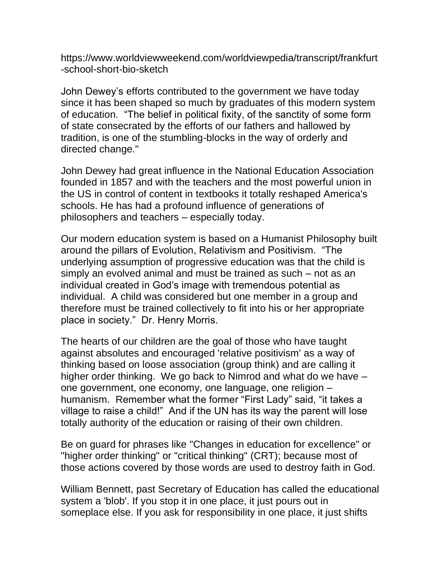https://www.worldviewweekend.com/worldviewpedia/transcript/frankfurt -school-short-bio-sketch

John Dewey's efforts contributed to the government we have today since it has been shaped so much by graduates of this modern system of education. "The belief in political fixity, of the sanctity of some form of state consecrated by the efforts of our fathers and hallowed by tradition, is one of the stumbling-blocks in the way of orderly and directed change."

John Dewey had great influence in the National Education Association founded in 1857 and with the teachers and the most powerful union in the US in control of content in textbooks it totally reshaped America's schools. He has had a profound influence of generations of philosophers and teachers – especially today.

Our modern education system is based on a Humanist Philosophy built around the pillars of Evolution, Relativism and Positivism. "The underlying assumption of progressive education was that the child is simply an evolved animal and must be trained as such – not as an individual created in God's image with tremendous potential as individual. A child was considered but one member in a group and therefore must be trained collectively to fit into his or her appropriate place in society." Dr. Henry Morris.

The hearts of our children are the goal of those who have taught against absolutes and encouraged 'relative positivism' as a way of thinking based on loose association (group think) and are calling it higher order thinking. We go back to Nimrod and what do we have – one government, one economy, one language, one religion – humanism. Remember what the former "First Lady" said, "it takes a village to raise a child!" And if the UN has its way the parent will lose totally authority of the education or raising of their own children.

Be on guard for phrases like "Changes in education for excellence" or "higher order thinking" or "critical thinking" (CRT); because most of those actions covered by those words are used to destroy faith in God.

William Bennett, past Secretary of Education has called the educational system a 'blob'. If you stop it in one place, it just pours out in someplace else. If you ask for responsibility in one place, it just shifts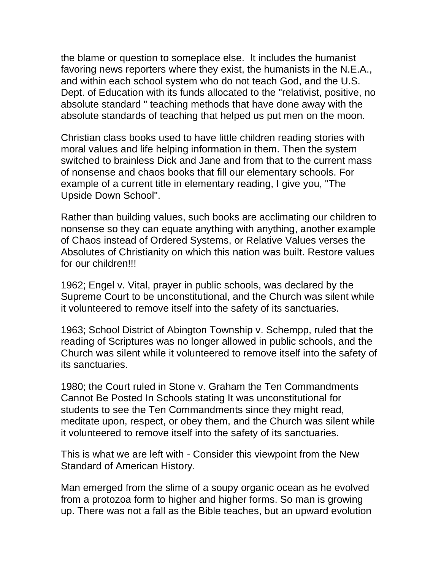the blame or question to someplace else. It includes the humanist favoring news reporters where they exist, the humanists in the N.E.A., and within each school system who do not teach God, and the U.S. Dept. of Education with its funds allocated to the "relativist, positive, no absolute standard " teaching methods that have done away with the absolute standards of teaching that helped us put men on the moon.

Christian class books used to have little children reading stories with moral values and life helping information in them. Then the system switched to brainless Dick and Jane and from that to the current mass of nonsense and chaos books that fill our elementary schools. For example of a current title in elementary reading, I give you, "The Upside Down School".

Rather than building values, such books are acclimating our children to nonsense so they can equate anything with anything, another example of Chaos instead of Ordered Systems, or Relative Values verses the Absolutes of Christianity on which this nation was built. Restore values for our children!!!

1962; Engel v. Vital, prayer in public schools, was declared by the Supreme Court to be unconstitutional, and the Church was silent while it volunteered to remove itself into the safety of its sanctuaries.

1963; School District of Abington Township v. Schempp, ruled that the reading of Scriptures was no longer allowed in public schools, and the Church was silent while it volunteered to remove itself into the safety of its sanctuaries.

1980; the Court ruled in Stone v. Graham the Ten Commandments Cannot Be Posted In Schools stating It was unconstitutional for students to see the Ten Commandments since they might read, meditate upon, respect, or obey them, and the Church was silent while it volunteered to remove itself into the safety of its sanctuaries.

This is what we are left with - Consider this viewpoint from the New Standard of American History.

Man emerged from the slime of a soupy organic ocean as he evolved from a protozoa form to higher and higher forms. So man is growing up. There was not a fall as the Bible teaches, but an upward evolution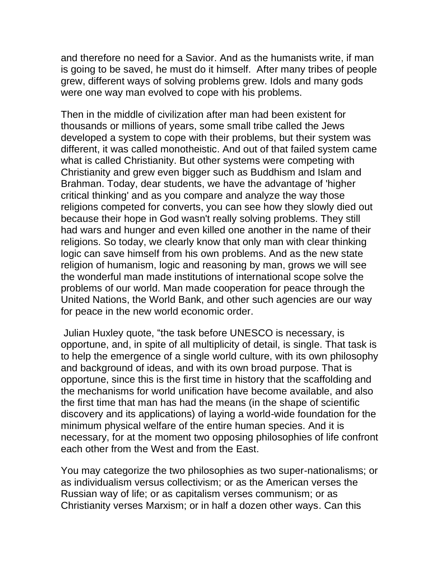and therefore no need for a Savior. And as the humanists write, if man is going to be saved, he must do it himself. After many tribes of people grew, different ways of solving problems grew. Idols and many gods were one way man evolved to cope with his problems.

Then in the middle of civilization after man had been existent for thousands or millions of years, some small tribe called the Jews developed a system to cope with their problems, but their system was different, it was called monotheistic. And out of that failed system came what is called Christianity. But other systems were competing with Christianity and grew even bigger such as Buddhism and Islam and Brahman. Today, dear students, we have the advantage of 'higher critical thinking' and as you compare and analyze the way those religions competed for converts, you can see how they slowly died out because their hope in God wasn't really solving problems. They still had wars and hunger and even killed one another in the name of their religions. So today, we clearly know that only man with clear thinking logic can save himself from his own problems. And as the new state religion of humanism, logic and reasoning by man, grows we will see the wonderful man made institutions of international scope solve the problems of our world. Man made cooperation for peace through the United Nations, the World Bank, and other such agencies are our way for peace in the new world economic order.

Julian Huxley quote, "the task before UNESCO is necessary, is opportune, and, in spite of all multiplicity of detail, is single. That task is to help the emergence of a single world culture, with its own philosophy and background of ideas, and with its own broad purpose. That is opportune, since this is the first time in history that the scaffolding and the mechanisms for world unification have become available, and also the first time that man has had the means (in the shape of scientific discovery and its applications) of laying a world-wide foundation for the minimum physical welfare of the entire human species. And it is necessary, for at the moment two opposing philosophies of life confront each other from the West and from the East.

You may categorize the two philosophies as two super-nationalisms; or as individualism versus collectivism; or as the American verses the Russian way of life; or as capitalism verses communism; or as Christianity verses Marxism; or in half a dozen other ways. Can this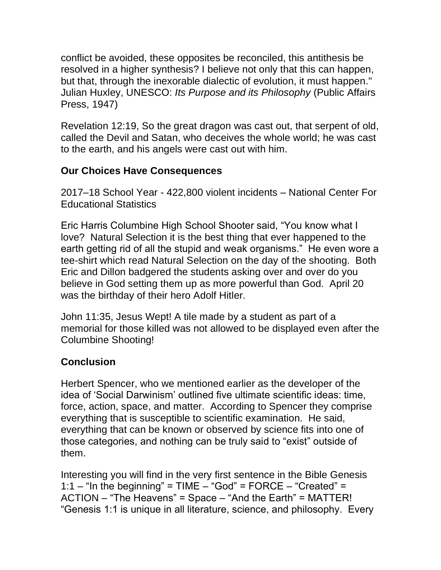conflict be avoided, these opposites be reconciled, this antithesis be resolved in a higher synthesis? I believe not only that this can happen, but that, through the inexorable dialectic of evolution, it must happen." Julian Huxley, UNESCO: *Its Purpose and its Philosophy* (Public Affairs Press, 1947)

Revelation 12:19, So the great dragon was cast out, that serpent of old, called the Devil and Satan, who deceives the whole world; he was cast to the earth, and his angels were cast out with him.

## **Our Choices Have Consequences**

2017–18 School Year - 422,800 violent incidents – National Center For Educational Statistics

Eric Harris Columbine High School Shooter said, "You know what I love? Natural Selection it is the best thing that ever happened to the earth getting rid of all the stupid and weak organisms." He even wore a tee-shirt which read Natural Selection on the day of the shooting. Both Eric and Dillon badgered the students asking over and over do you believe in God setting them up as more powerful than God. April 20 was the birthday of their hero Adolf Hitler.

John 11:35, Jesus Wept! A tile made by a student as part of a memorial for those killed was not allowed to be displayed even after the Columbine Shooting!

# **Conclusion**

Herbert Spencer, who we mentioned earlier as the developer of the idea of 'Social Darwinism' outlined five ultimate scientific ideas: time, force, action, space, and matter. According to Spencer they comprise everything that is susceptible to scientific examination. He said, everything that can be known or observed by science fits into one of those categories, and nothing can be truly said to "exist" outside of them.

Interesting you will find in the very first sentence in the Bible Genesis 1:1 – "In the beginning" =  $TIME - "God" = FORCE - "Created" =$ ACTION – "The Heavens" = Space – "And the Earth" = MATTER! "Genesis 1:1 is unique in all literature, science, and philosophy. Every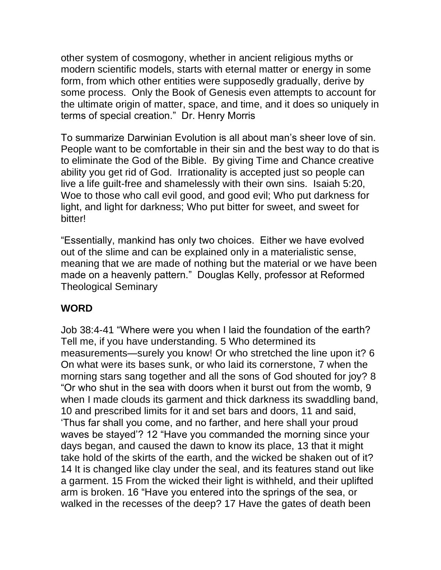other system of cosmogony, whether in ancient religious myths or modern scientific models, starts with eternal matter or energy in some form, from which other entities were supposedly gradually, derive by some process. Only the Book of Genesis even attempts to account for the ultimate origin of matter, space, and time, and it does so uniquely in terms of special creation." Dr. Henry Morris

To summarize Darwinian Evolution is all about man's sheer love of sin. People want to be comfortable in their sin and the best way to do that is to eliminate the God of the Bible. By giving Time and Chance creative ability you get rid of God. Irrationality is accepted just so people can live a life guilt-free and shamelessly with their own sins. Isaiah 5:20, Woe to those who call evil good, and good evil; Who put darkness for light, and light for darkness; Who put bitter for sweet, and sweet for bitter!

"Essentially, mankind has only two choices. Either we have evolved out of the slime and can be explained only in a materialistic sense, meaning that we are made of nothing but the material or we have been made on a heavenly pattern." Douglas Kelly, professor at Reformed Theological Seminary

## **WORD**

Job 38:4-41 "Where were you when I laid the foundation of the earth? Tell me, if you have understanding. 5 Who determined its measurements—surely you know! Or who stretched the line upon it? 6 On what were its bases sunk, or who laid its cornerstone, 7 when the morning stars sang together and all the sons of God shouted for joy? 8 "Or who shut in the sea with doors when it burst out from the womb, 9 when I made clouds its garment and thick darkness its swaddling band, 10 and prescribed limits for it and set bars and doors, 11 and said, 'Thus far shall you come, and no farther, and here shall your proud waves be stayed'? 12 "Have you commanded the morning since your days began, and caused the dawn to know its place, 13 that it might take hold of the skirts of the earth, and the wicked be shaken out of it? 14 It is changed like clay under the seal, and its features stand out like a garment. 15 From the wicked their light is withheld, and their uplifted arm is broken. 16 "Have you entered into the springs of the sea, or walked in the recesses of the deep? 17 Have the gates of death been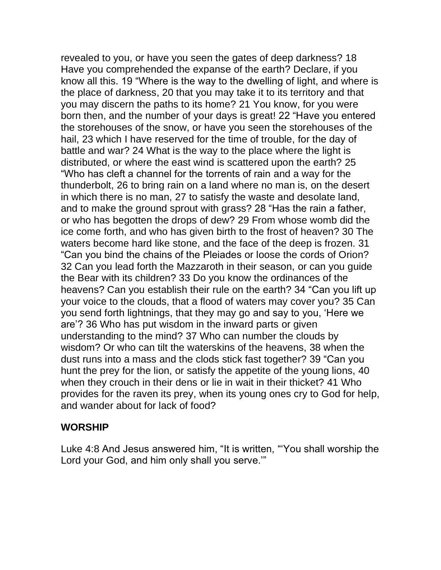revealed to you, or have you seen the gates of deep darkness? 18 Have you comprehended the expanse of the earth? Declare, if you know all this. 19 "Where is the way to the dwelling of light, and where is the place of darkness, 20 that you may take it to its territory and that you may discern the paths to its home? 21 You know, for you were born then, and the number of your days is great! 22 "Have you entered the storehouses of the snow, or have you seen the storehouses of the hail, 23 which I have reserved for the time of trouble, for the day of battle and war? 24 What is the way to the place where the light is distributed, or where the east wind is scattered upon the earth? 25 "Who has cleft a channel for the torrents of rain and a way for the thunderbolt, 26 to bring rain on a land where no man is, on the desert in which there is no man, 27 to satisfy the waste and desolate land, and to make the ground sprout with grass? 28 "Has the rain a father, or who has begotten the drops of dew? 29 From whose womb did the ice come forth, and who has given birth to the frost of heaven? 30 The waters become hard like stone, and the face of the deep is frozen. 31 "Can you bind the chains of the Pleiades or loose the cords of Orion? 32 Can you lead forth the Mazzaroth in their season, or can you guide the Bear with its children? 33 Do you know the ordinances of the heavens? Can you establish their rule on the earth? 34 "Can you lift up your voice to the clouds, that a flood of waters may cover you? 35 Can you send forth lightnings, that they may go and say to you, 'Here we are'? 36 Who has put wisdom in the inward parts or given understanding to the mind? 37 Who can number the clouds by wisdom? Or who can tilt the waterskins of the heavens, 38 when the dust runs into a mass and the clods stick fast together? 39 "Can you hunt the prey for the lion, or satisfy the appetite of the young lions, 40 when they crouch in their dens or lie in wait in their thicket? 41 Who provides for the raven its prey, when its young ones cry to God for help, and wander about for lack of food?

#### **WORSHIP**

Luke 4:8 And Jesus answered him, "It is written, "'You shall worship the Lord your God, and him only shall you serve.'"